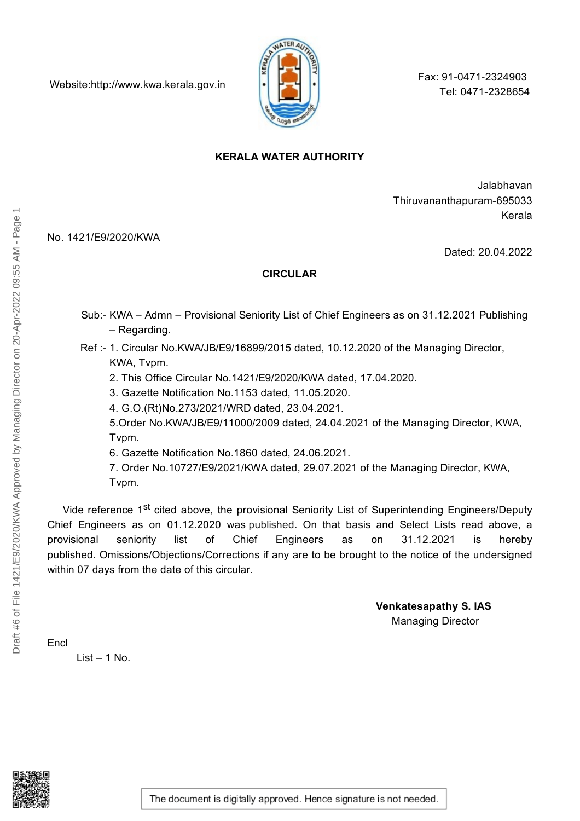Website:http://www.kwa.kerala.gov.in



Fax: 91-0471-2324903 Tel: 0471-2328654

## **KERALA WATER AUTHORITY**

Jalabhavan Thiruvananthapuram-695033 Kerala

No. 1421/E9/2020/KWA

Dated: 20.04.2022

## **CIRCULAR**

- Sub:- KWA Admn Provisional Seniority List of Chief Engineers as on 31.12.2021 Publishing – Regarding.
- Ref :- 1. Circular No.KWA/JB/E9/16899/2015 dated, 10.12.2020 of the Managing Director, KWA, Tvpm.
	- 2. This Office Circular No.1421/E9/2020/KWA dated, 17.04.2020.
	- 3. Gazette Notification No.1153 dated, 11.05.2020.
	- 4. G.O.(Rt)No.273/2021/WRD dated, 23.04.2021.

5.Order No.KWA/JB/E9/11000/2009 dated, 24.04.2021 of the Managing Director, KWA, Tvpm.

6. Gazette Notification No.1860 dated, 24.06.2021.

7. Order No.10727/E9/2021/KWA dated, 29.07.2021 of the Managing Director, KWA, Tvpm.

Vide reference 1<sup>st</sup> cited above, the provisional Seniority List of Superintending Engineers/Deputy Chief Engineers as on 01.12.2020 was published. On that basis and Select Lists read above, a provisional seniority list of Chief Engineers as on 31.12.2021 is hereby published. Omissions/Objections/Corrections if any are to be brought to the notice of the undersigned within 07 days from the date of this circular.

> **Venkatesapathy S. IAS** Managing Director

Encl

 $List - 1$  No.